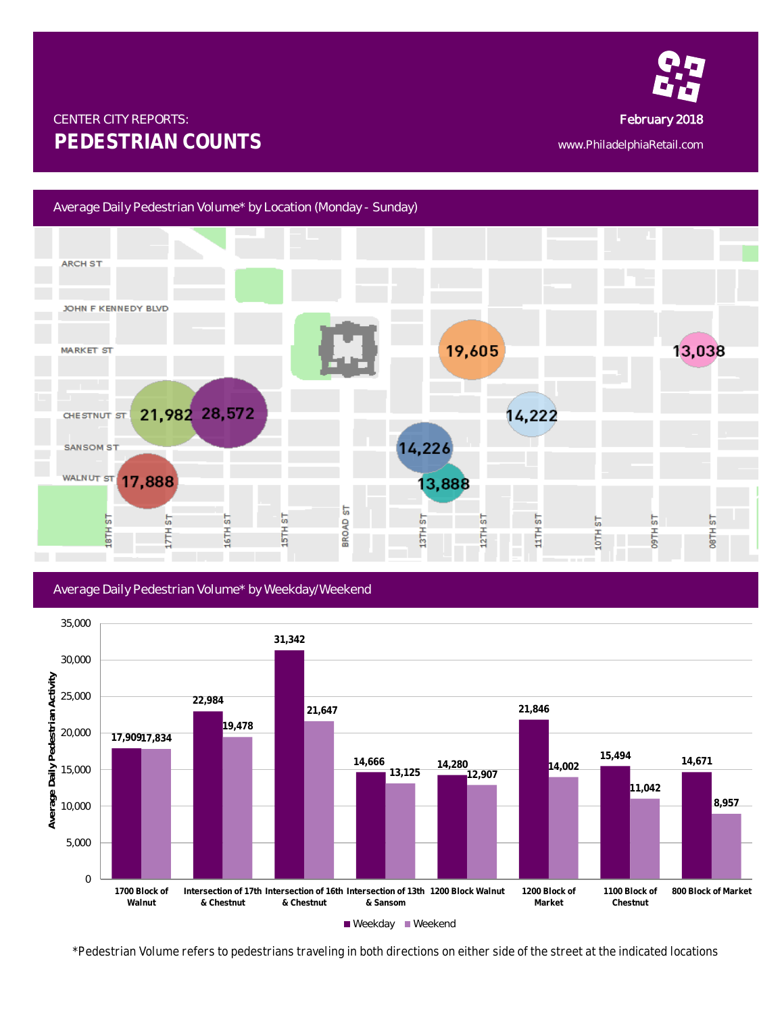

## CENTER CITY REPORTS: February 2018 **PEDESTRIAN COUNTS** www.PhiladelphiaRetail.com

## Average Daily Pedestrian Volume\* by Location (Monday - Sunday)



## Average Daily Pedestrian Volume\* by Weekday/Weekend



*\*Pedestrian Volume refers to pedestrians traveling in both directions on either side of the street at the indicated locations*